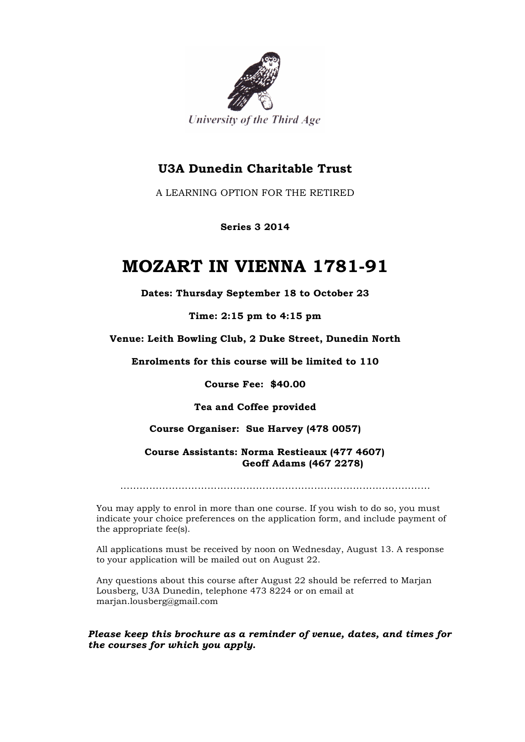

## **U3A Dunedin Charitable Trust**

A LEARNING OPTION FOR THE RETIRED

**Series 3 2014**

## **MOZART IN VIENNA 1781-91**

**Dates: Thursday September 18 to October 23**

**Time: 2:15 pm to 4:15 pm**

**Venue: Leith Bowling Club, 2 Duke Street, Dunedin North**

**Enrolments for this course will be limited to 110**

**Course Fee: \$40.00**

**Tea and Coffee provided**

**Course Organiser: Sue Harvey (478 0057)**

**Course Assistants: Norma Restieaux (477 4607) Geoff Adams (467 2278)**

……………………………………………………………………………………

You may apply to enrol in more than one course. If you wish to do so, you must indicate your choice preferences on the application form, and include payment of the appropriate fee(s).

All applications must be received by noon on Wednesday, August 13. A response to your application will be mailed out on August 22.

Any questions about this course after August 22 should be referred to Marjan Lousberg, U3A Dunedin, telephone 473 8224 or on email at marjan.lousberg@gmail.com

*Please keep this brochure as a reminder of venue, dates, and times for the courses for which you apply.*